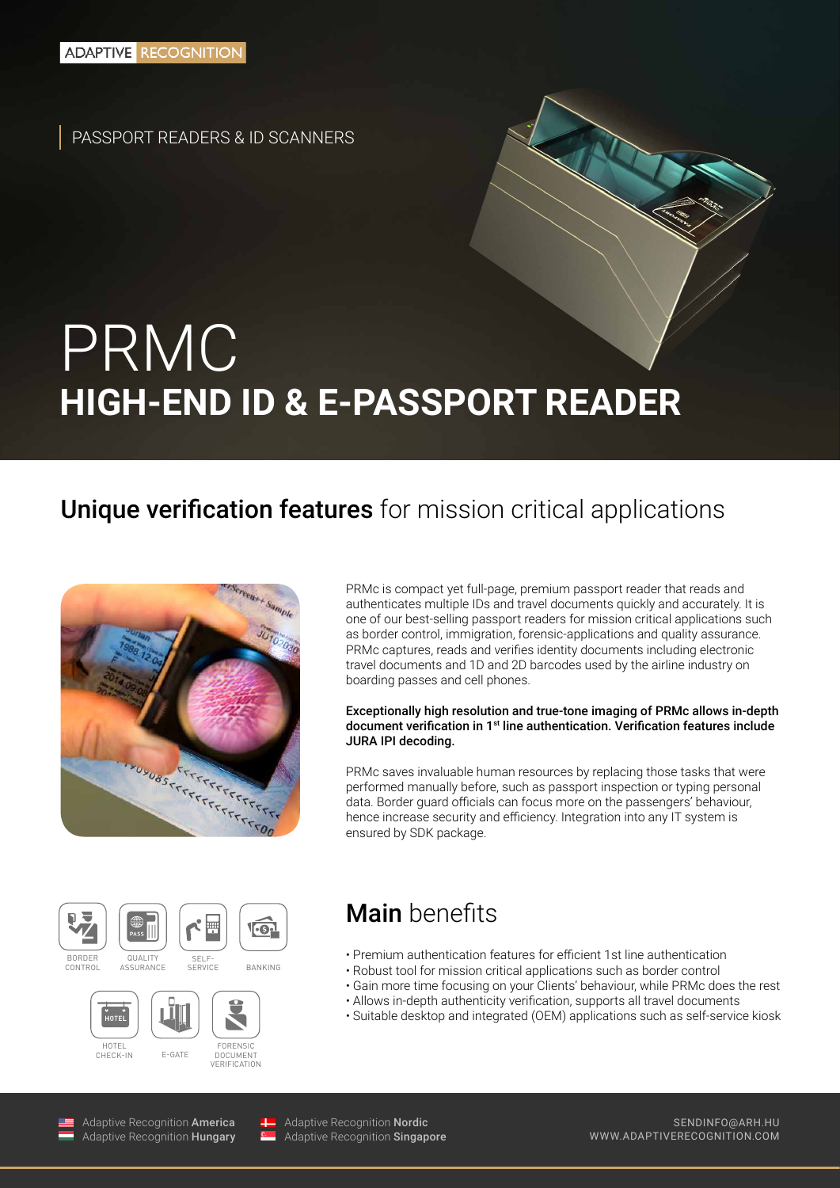PASSPORT READERS & ID SCANNERS

# PRMC **HIGH-END ID & E-PASSPORT READER**

## Unique verification features for mission critical applications



PRMc is compact yet full-page, premium passport reader that reads and authenticates multiple IDs and travel documents quickly and accurately. It is one of our best-selling passport readers for mission critical applications such as border control, immigration, forensic-applications and quality assurance. PRMc captures, reads and verifies identity documents including electronic travel documents and 1D and 2D barcodes used by the airline industry on boarding passes and cell phones.

#### Exceptionally high resolution and true-tone imaging of PRMc allows in-depth document verification in 1<sup>st</sup> line authentication. Verification features include JURA IPI decoding.

PRMc saves invaluable human resources by replacing those tasks that were performed manually before, such as passport inspection or typing personal data. Border guard officials can focus more on the passengers' behaviour, hence increase security and efficiency. Integration into any IT system is ensured by SDK package.





| c | ч            |
|---|--------------|
|   | $\cdot$ Prem |



VERIFICATION

## Main benefits

- Premium authentication features for efficient 1st line authentication
- Robust tool for mission critical applications such as border control
- Gain more time focusing on your Clients' behaviour, while PRMc does the rest
- Allows in-depth authenticity verification, supports all travel documents
- Suitable desktop and integrated (OEM) applications such as self-service kiosk

Adaptive Recognition America Adaptive Recognition **Hungary** 



Adaptive Recognition Nordic Adaptive Recognition **Singapore** 

SENDINFO@ARH.HU WWW.ADAPTIVERECOGNITION.COM